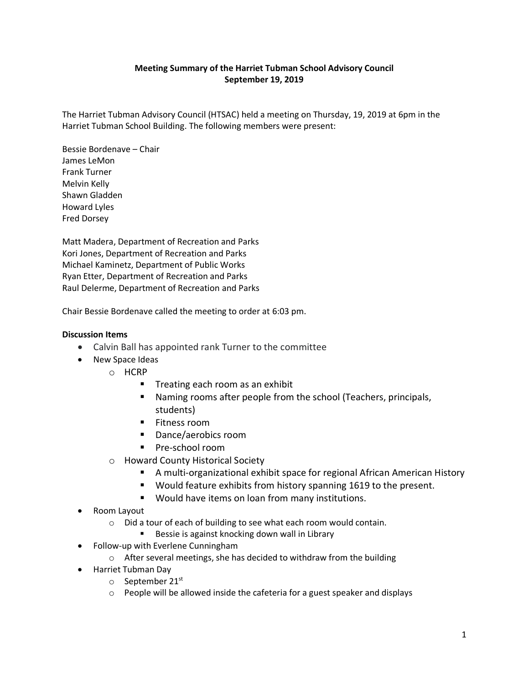## **Meeting Summary of the Harriet Tubman School Advisory Council September 19, 2019**

The Harriet Tubman Advisory Council (HTSAC) held a meeting on Thursday, 19, 2019 at 6pm in the Harriet Tubman School Building. The following members were present:

Bessie Bordenave – Chair James LeMon Frank Turner Melvin Kelly Shawn Gladden Howard Lyles Fred Dorsey

Matt Madera, Department of Recreation and Parks Kori Jones, Department of Recreation and Parks Michael Kaminetz, Department of Public Works Ryan Etter, Department of Recreation and Parks Raul Delerme, Department of Recreation and Parks

Chair Bessie Bordenave called the meeting to order at 6:03 pm.

### **Discussion Items**

- Calvin Ball has appointed rank Turner to the committee
- New Space Ideas
	- o HCRP
		- Treating each room as an exhibit
		- Naming rooms after people from the school (Teachers, principals, students)
		- **Fitness room**
		- Dance/aerobics room
		- **Pre-school room**
	- o Howard County Historical Society
		- A multi-organizational exhibit space for regional African American History
		- Would feature exhibits from history spanning 1619 to the present.
		- **Would have items on loan from many institutions.**
- Room Layout
	- o Did a tour of each of building to see what each room would contain.
		- Bessie is against knocking down wall in Library
- Follow-up with Everlene Cunningham
	- o After several meetings, she has decided to withdraw from the building
- Harriet Tubman Day
	- $\circ$  September 21st
	- o People will be allowed inside the cafeteria for a guest speaker and displays